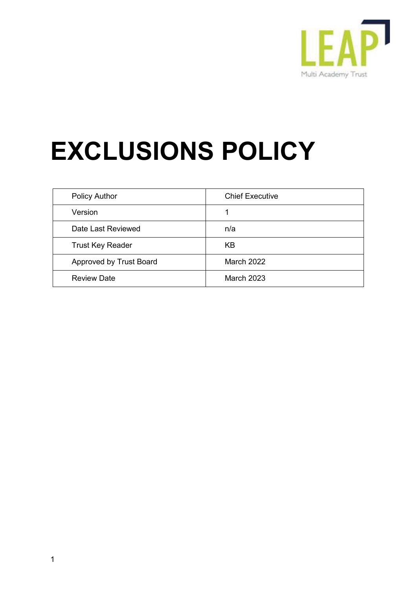

# **EXCLUSIONS POLICY**

| <b>Policy Author</b>    | <b>Chief Executive</b> |
|-------------------------|------------------------|
| Version                 |                        |
| Date Last Reviewed      | n/a                    |
| <b>Trust Key Reader</b> | KB                     |
| Approved by Trust Board | <b>March 2022</b>      |
| <b>Review Date</b>      | <b>March 2023</b>      |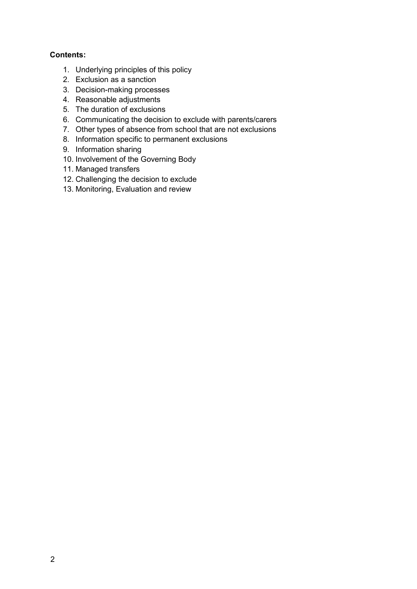### **Contents:**

- 1. Underlying principles of this policy
- 2. Exclusion as a sanction
- 3. Decision-making processes
- 4. Reasonable adjustments
- 5. The duration of exclusions
- 6. Communicating the decision to exclude with parents/carers
- 7. Other types of absence from school that are not exclusions
- 8. Information specific to permanent exclusions
- 9. Information sharing
- 10. Involvement of the Governing Body
- 11. Managed transfers
- 12. Challenging the decision to exclude
- 13. Monitoring, Evaluation and review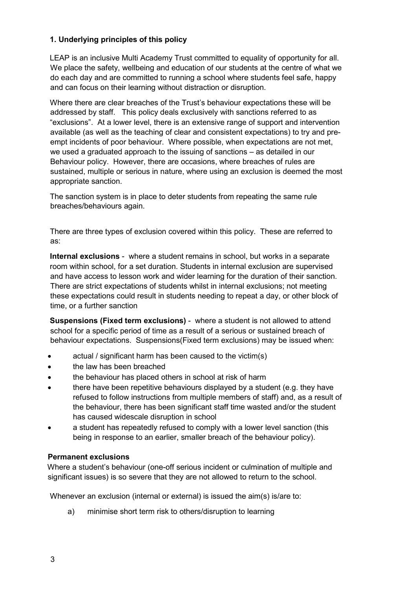### **1. Underlying principles of this policy**

LEAP is an inclusive Multi Academy Trust committed to equality of opportunity for all. We place the safety, wellbeing and education of our students at the centre of what we do each day and are committed to running a school where students feel safe, happy and can focus on their learning without distraction or disruption.

Where there are clear breaches of the Trust's behaviour expectations these will be addressed by staff. This policy deals exclusively with sanctions referred to as "exclusions". At a lower level, there is an extensive range of support and intervention available (as well as the teaching of clear and consistent expectations) to try and preempt incidents of poor behaviour. Where possible, when expectations are not met, we used a graduated approach to the issuing of sanctions – as detailed in our Behaviour policy. However, there are occasions, where breaches of rules are sustained, multiple or serious in nature, where using an exclusion is deemed the most appropriate sanction.

The sanction system is in place to deter students from repeating the same rule breaches/behaviours again.

There are three types of exclusion covered within this policy. These are referred to as:

**Internal exclusions** - where a student remains in school, but works in a separate room within school, for a set duration. Students in internal exclusion are supervised and have access to lesson work and wider learning for the duration of their sanction. There are strict expectations of students whilst in internal exclusions; not meeting these expectations could result in students needing to repeat a day, or other block of time, or a further sanction

**Suspensions (Fixed term exclusions)** - where a student is not allowed to attend school for a specific period of time as a result of a serious or sustained breach of behaviour expectations. Suspensions(Fixed term exclusions) may be issued when:

- actual / significant harm has been caused to the victim(s)
- the law has been breached
- the behaviour has placed others in school at risk of harm
- there have been repetitive behaviours displayed by a student (e.g. they have refused to follow instructions from multiple members of staff) and, as a result of the behaviour, there has been significant staff time wasted and/or the student has caused widescale disruption in school
- a student has repeatedly refused to comply with a lower level sanction (this being in response to an earlier, smaller breach of the behaviour policy).

#### **Permanent exclusions**

Where a student's behaviour (one-off serious incident or culmination of multiple and significant issues) is so severe that they are not allowed to return to the school.

Whenever an exclusion (internal or external) is issued the aim(s) is/are to:

a) minimise short term risk to others/disruption to learning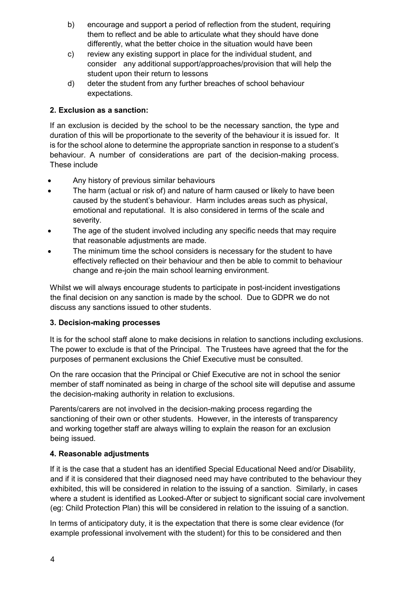- b) encourage and support a period of reflection from the student, requiring them to reflect and be able to articulate what they should have done differently, what the better choice in the situation would have been
- c) review any existing support in place for the individual student, and consider any additional support/approaches/provision that will help the student upon their return to lessons
- d) deter the student from any further breaches of school behaviour expectations.

## **2. Exclusion as a sanction:**

If an exclusion is decided by the school to be the necessary sanction, the type and duration of this will be proportionate to the severity of the behaviour it is issued for. It is for the school alone to determine the appropriate sanction in response to a student's behaviour. A number of considerations are part of the decision-making process. These include

- Any history of previous similar behaviours
- The harm (actual or risk of) and nature of harm caused or likely to have been caused by the student's behaviour. Harm includes areas such as physical, emotional and reputational. It is also considered in terms of the scale and severity.
- The age of the student involved including any specific needs that may require that reasonable adjustments are made.
- The minimum time the school considers is necessary for the student to have effectively reflected on their behaviour and then be able to commit to behaviour change and re-join the main school learning environment.

Whilst we will always encourage students to participate in post-incident investigations the final decision on any sanction is made by the school. Due to GDPR we do not discuss any sanctions issued to other students.

#### **3. Decision-making processes**

It is for the school staff alone to make decisions in relation to sanctions including exclusions. The power to exclude is that of the Principal. The Trustees have agreed that the for the purposes of permanent exclusions the Chief Executive must be consulted.

On the rare occasion that the Principal or Chief Executive are not in school the senior member of staff nominated as being in charge of the school site will deputise and assume the decision-making authority in relation to exclusions.

Parents/carers are not involved in the decision-making process regarding the sanctioning of their own or other students. However, in the interests of transparency and working together staff are always willing to explain the reason for an exclusion being issued.

#### **4. Reasonable adjustments**

If it is the case that a student has an identified Special Educational Need and/or Disability, and if it is considered that their diagnosed need may have contributed to the behaviour they exhibited, this will be considered in relation to the issuing of a sanction. Similarly, in cases where a student is identified as Looked-After or subject to significant social care involvement (eg: Child Protection Plan) this will be considered in relation to the issuing of a sanction.

In terms of anticipatory duty, it is the expectation that there is some clear evidence (for example professional involvement with the student) for this to be considered and then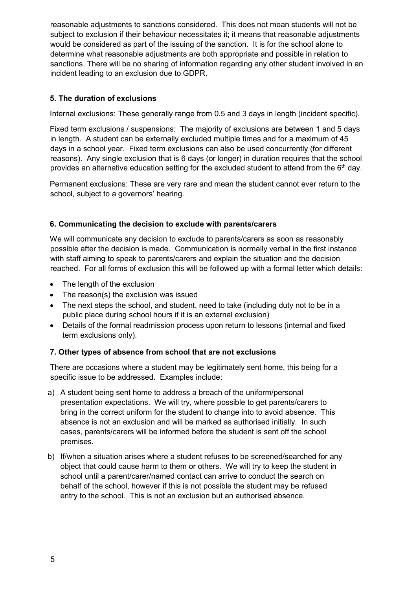reasonable adjustments to sanctions considered. This does not mean students will not be subject to exclusion if their behaviour necessitates it; it means that reasonable adjustments would be considered as part of the issuing of the sanction. It is for the school alone to determine what reasonable adjustments are both appropriate and possible in relation to sanctions. There will be no sharing of information regarding any other student involved in an incident leading to an exclusion due to GDPR.

## **5. The duration of exclusions**

Internal exclusions: These generally range from 0.5 and 3 days in length (incident specific).

Fixed term exclusions / suspensions: The majority of exclusions are between 1 and 5 days in length. A student can be externally excluded multiple times and for a maximum of 45 days in a school year. Fixed term exclusions can also be used concurrently (for different reasons). Any single exclusion that is 6 days (or longer) in duration requires that the school provides an alternative education setting for the excluded student to attend from the  $6<sup>th</sup>$  day.

Permanent exclusions: These are very rare and mean the student cannot ever return to the school, subject to a governors' hearing.

#### **6. Communicating the decision to exclude with parents/carers**

We will communicate any decision to exclude to parents/carers as soon as reasonably possible after the decision is made. Communication is normally verbal in the first instance with staff aiming to speak to parents/carers and explain the situation and the decision reached. For all forms of exclusion this will be followed up with a formal letter which details:

- The length of the exclusion
- The reason(s) the exclusion was issued
- The next steps the school, and student, need to take (including duty not to be in a public place during school hours if it is an external exclusion)
- Details of the formal readmission process upon return to lessons (internal and fixed term exclusions only).

#### **7. Other types of absence from school that are not exclusions**

There are occasions where a student may be legitimately sent home, this being for a specific issue to be addressed. Examples include:

- a) A student being sent home to address a breach of the uniform/personal presentation expectations. We will try, where possible to get parents/carers to bring in the correct uniform for the student to change into to avoid absence. This absence is not an exclusion and will be marked as authorised initially. In such cases, parents/carers will be informed before the student is sent off the school premises.
- b) If/when a situation arises where a student refuses to be screened/searched for any object that could cause harm to them or others. We will try to keep the student in school until a parent/carer/named contact can arrive to conduct the search on behalf of the school, however if this is not possible the student may be refused entry to the school. This is not an exclusion but an authorised absence.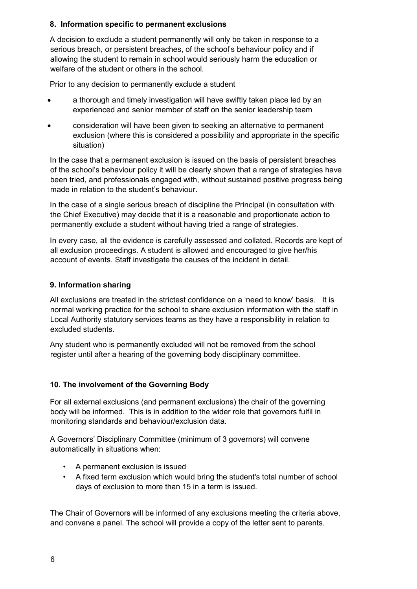## **8. Information specific to permanent exclusions**

A decision to exclude a student permanently will only be taken in response to a serious breach, or persistent breaches, of the school's behaviour policy and if allowing the student to remain in school would seriously harm the education or welfare of the student or others in the school.

Prior to any decision to permanently exclude a student

- a thorough and timely investigation will have swiftly taken place led by an experienced and senior member of staff on the senior leadership team
- consideration will have been given to seeking an alternative to permanent exclusion (where this is considered a possibility and appropriate in the specific situation)

In the case that a permanent exclusion is issued on the basis of persistent breaches of the school's behaviour policy it will be clearly shown that a range of strategies have been tried, and professionals engaged with, without sustained positive progress being made in relation to the student's behaviour.

In the case of a single serious breach of discipline the Principal (in consultation with the Chief Executive) may decide that it is a reasonable and proportionate action to permanently exclude a student without having tried a range of strategies.

In every case, all the evidence is carefully assessed and collated. Records are kept of all exclusion proceedings. A student is allowed and encouraged to give her/his account of events. Staff investigate the causes of the incident in detail.

## **9. Information sharing**

All exclusions are treated in the strictest confidence on a 'need to know' basis. It is normal working practice for the school to share exclusion information with the staff in Local Authority statutory services teams as they have a responsibility in relation to excluded students.

Any student who is permanently excluded will not be removed from the school register until after a hearing of the governing body disciplinary committee.

#### **10. The involvement of the Governing Body**

For all external exclusions (and permanent exclusions) the chair of the governing body will be informed. This is in addition to the wider role that governors fulfil in monitoring standards and behaviour/exclusion data.

A Governors' Disciplinary Committee (minimum of 3 governors) will convene automatically in situations when:

- A permanent exclusion is issued
- A fixed term exclusion which would bring the student's total number of school days of exclusion to more than 15 in a term is issued.

The Chair of Governors will be informed of any exclusions meeting the criteria above, and convene a panel. The school will provide a copy of the letter sent to parents.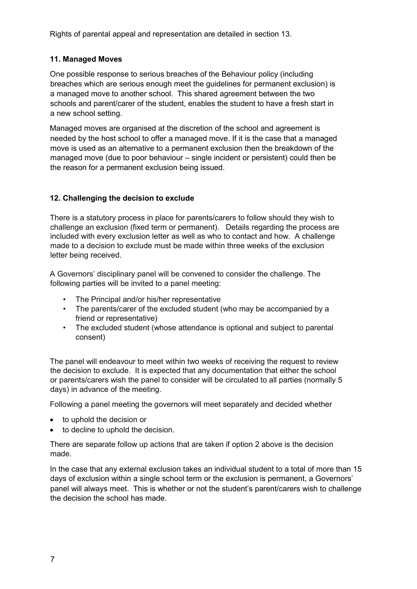Rights of parental appeal and representation are detailed in section 13.

#### **11. Managed Moves**

One possible response to serious breaches of the Behaviour policy (including breaches which are serious enough meet the guidelines for permanent exclusion) is a managed move to another school. This shared agreement between the two schools and parent/carer of the student, enables the student to have a fresh start in a new school setting.

Managed moves are organised at the discretion of the school and agreement is needed by the host school to offer a managed move. If it is the case that a managed move is used as an alternative to a permanent exclusion then the breakdown of the managed move (due to poor behaviour – single incident or persistent) could then be the reason for a permanent exclusion being issued.

## **12. Challenging the decision to exclude**

There is a statutory process in place for parents/carers to follow should they wish to challenge an exclusion (fixed term or permanent). Details regarding the process are included with every exclusion letter as well as who to contact and how. A challenge made to a decision to exclude must be made within three weeks of the exclusion letter being received.

A Governors' disciplinary panel will be convened to consider the challenge. The following parties will be invited to a panel meeting:

- The Principal and/or his/her representative
- The parents/carer of the excluded student (who may be accompanied by a friend or representative)
- The excluded student (whose attendance is optional and subject to parental consent)

The panel will endeavour to meet within two weeks of receiving the request to review the decision to exclude. It is expected that any documentation that either the school or parents/carers wish the panel to consider will be circulated to all parties (normally 5 days) in advance of the meeting.

Following a panel meeting the governors will meet separately and decided whether

- to uphold the decision or
- to decline to uphold the decision.

There are separate follow up actions that are taken if option 2 above is the decision made.

In the case that any external exclusion takes an individual student to a total of more than 15 days of exclusion within a single school term or the exclusion is permanent, a Governors' panel will always meet. This is whether or not the student's parent/carers wish to challenge the decision the school has made.